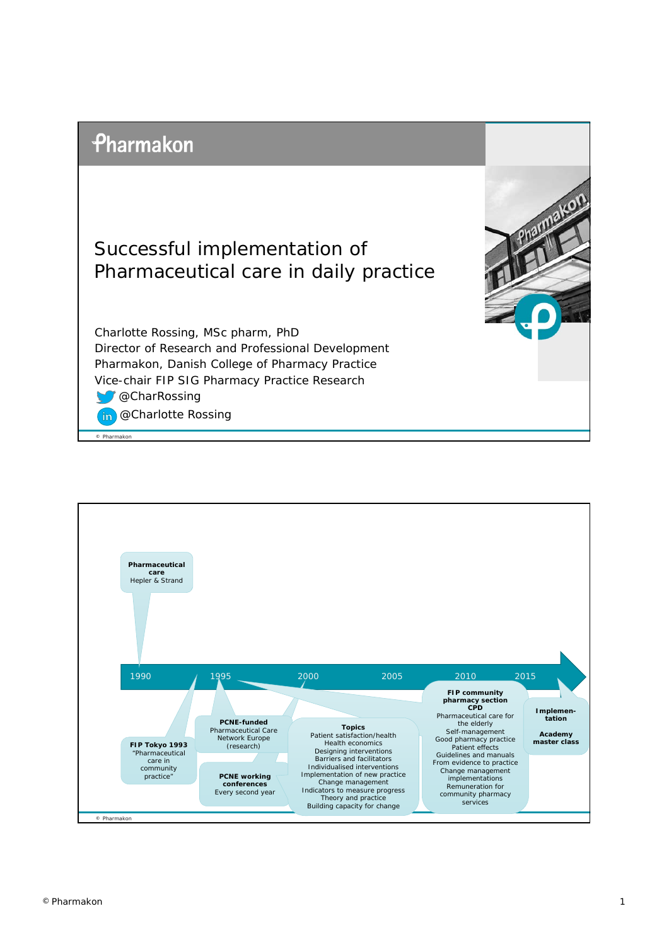



Charlotte Rossing, MSc pharm, PhD Director of Research and Professional Development Pharmakon, Danish College of Pharmacy Practice Vice-chair FIP SIG Pharmacy Practice Research **@CharRossing** 

**@Charlotte Rossing**  $in$ 

© Pharmakon



makon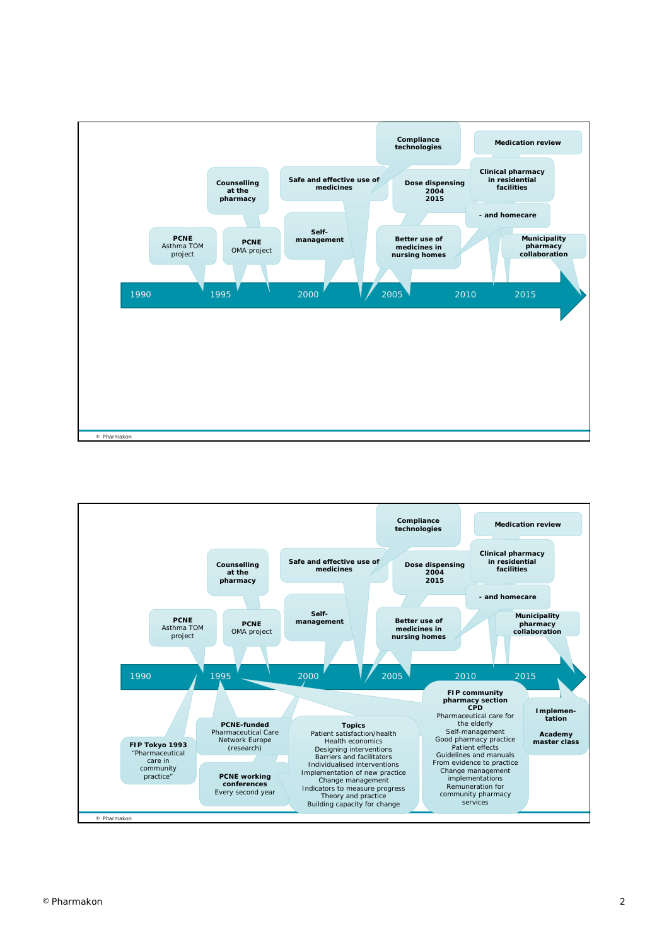

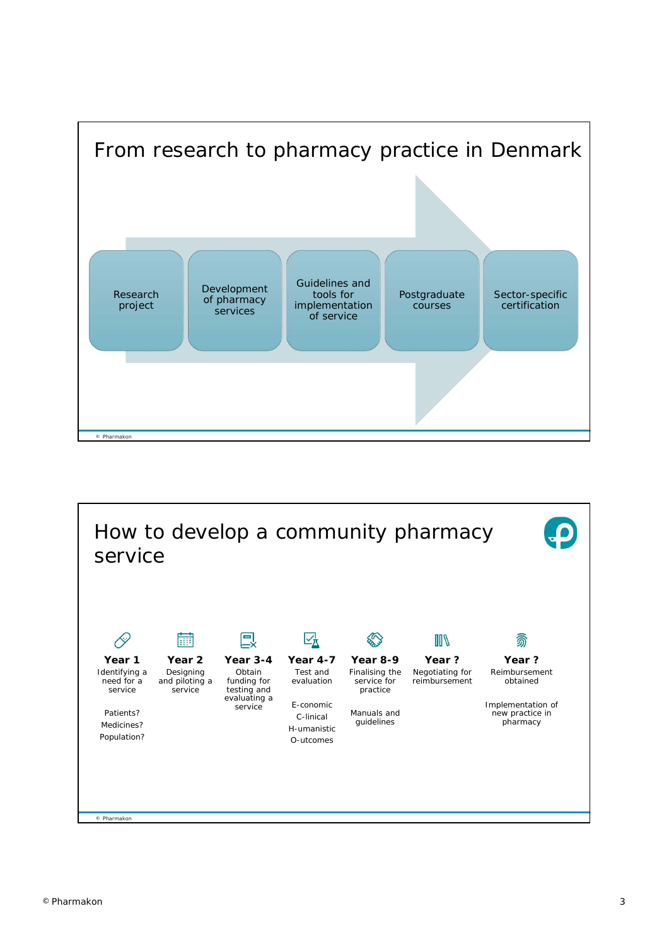

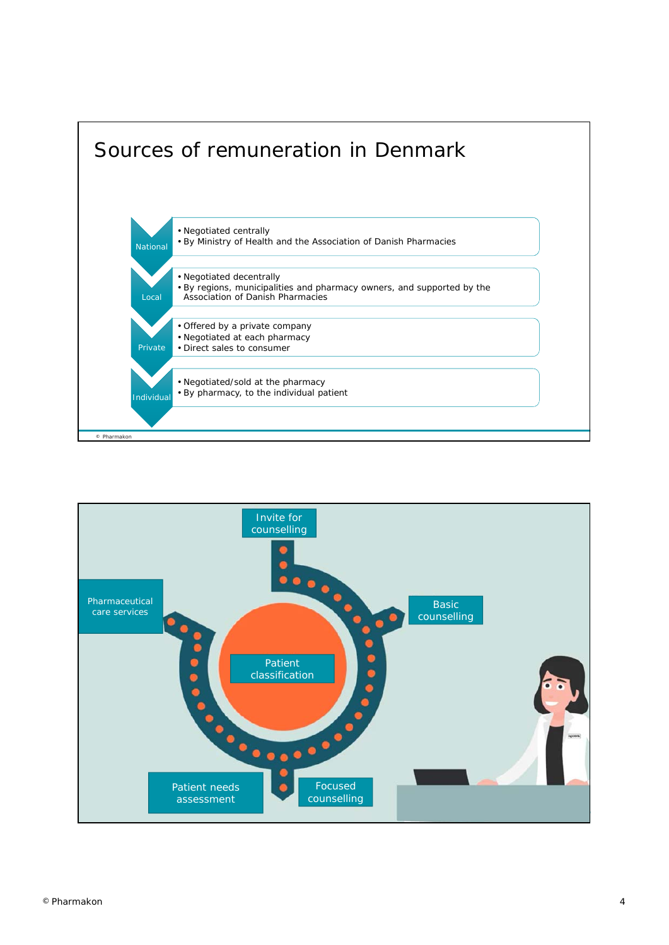

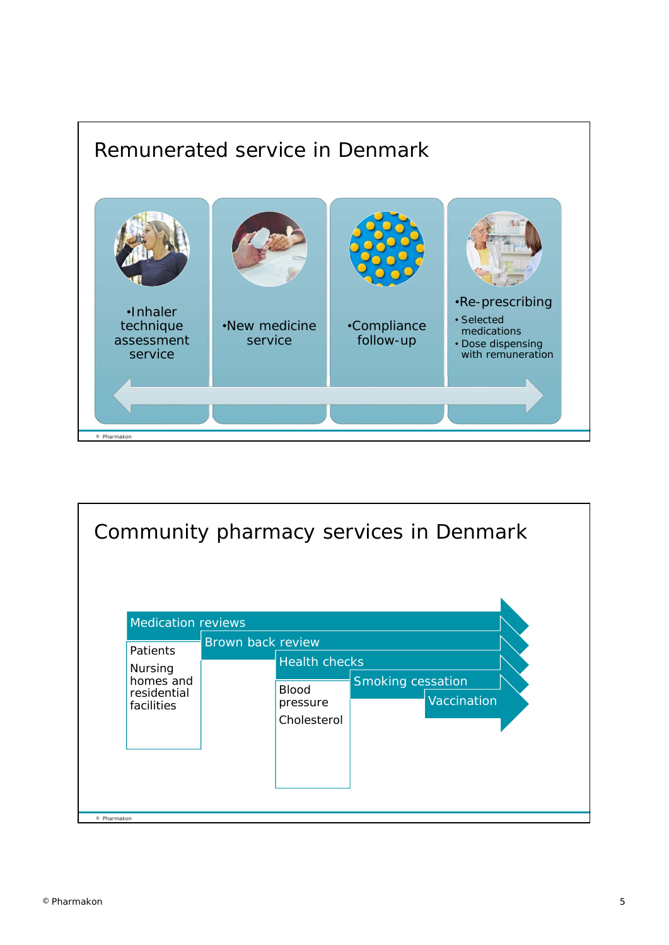

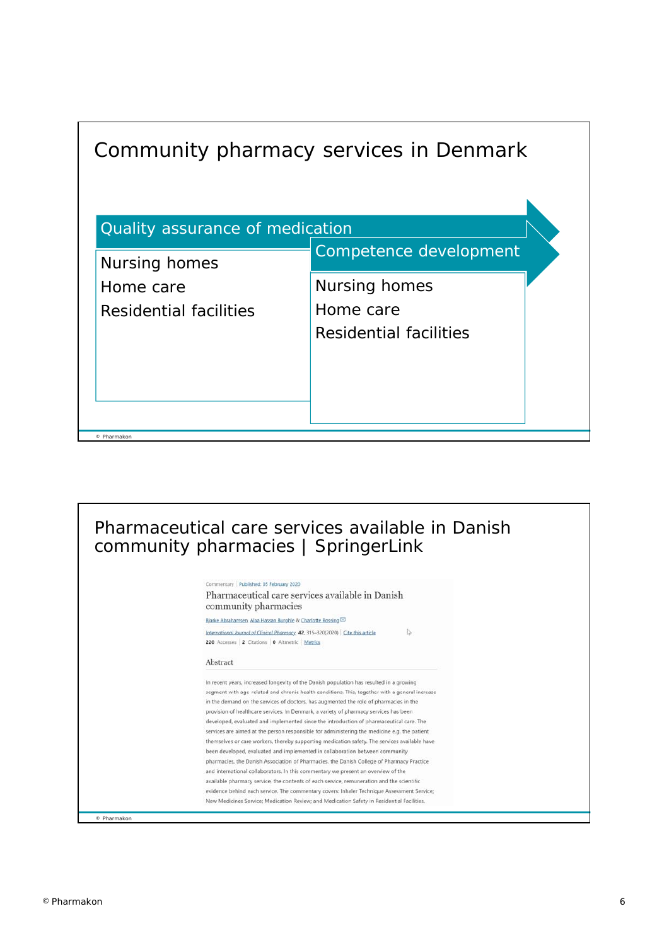| Community pharmacy services in Denmark           |                        |  |
|--------------------------------------------------|------------------------|--|
| Quality assurance of medication<br>Nursing homes | Competence development |  |
| Home care                                        | Nursing homes          |  |
| Residential facilities                           | Home care              |  |
|                                                  | Residential facilities |  |
|                                                  |                        |  |
|                                                  |                        |  |
| © Pharmakon                                      |                        |  |

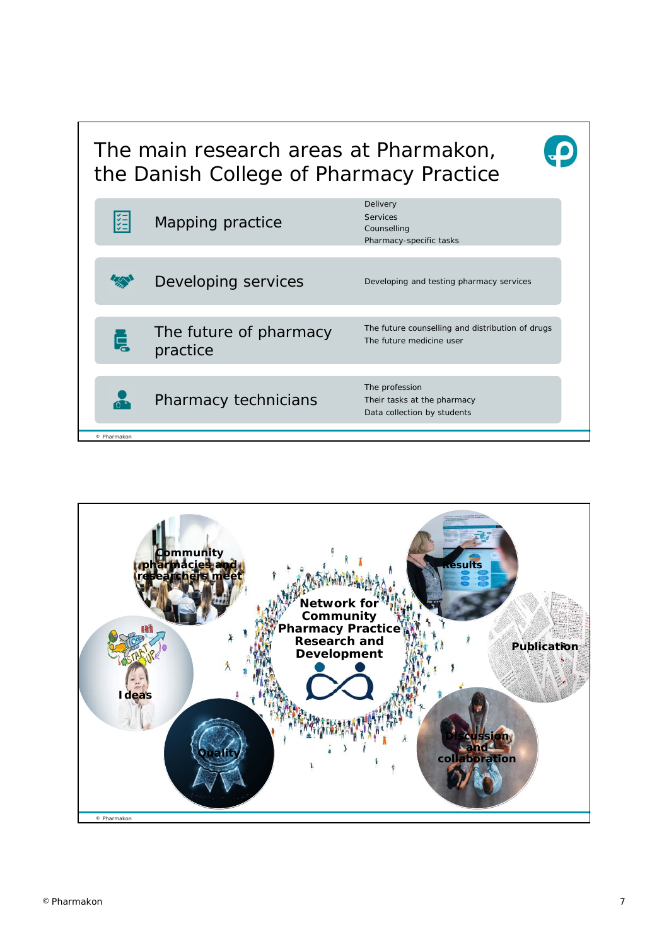## The main research areas at Pharmakon, the Danish College of Pharmacy Practice

|                                         | Pharmacy-specific tasks                                                      |
|-----------------------------------------|------------------------------------------------------------------------------|
| Developing services                     | Developing and testing pharmacy services                                     |
| The future of pharmacy<br>Ę<br>practice | The future counselling and distribution of drugs<br>The future medicine user |
| Pharmacy technicians                    | The profession<br>Their tasks at the pharmacy<br>Data collection by students |



 $\boldsymbol{\Theta}$